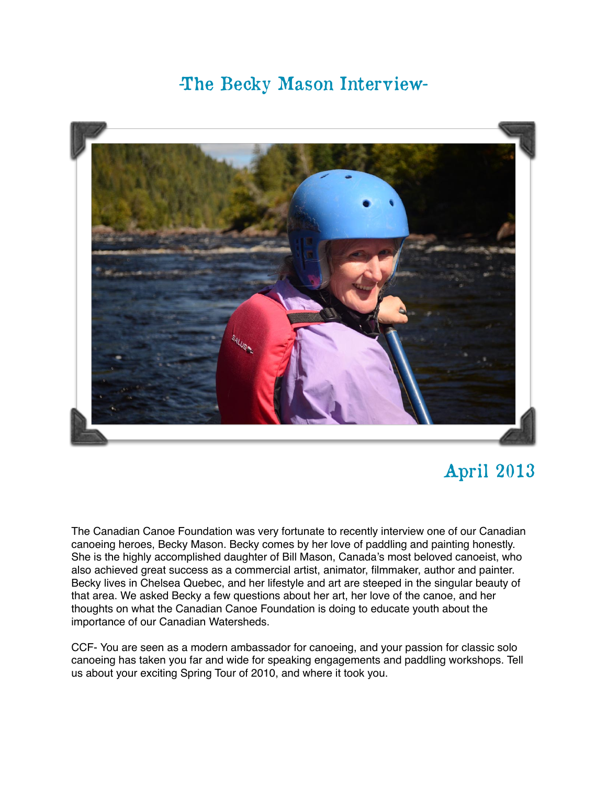## -The Becky Mason Interview-



## April 2013

The Canadian Canoe Foundation was very fortunate to recently interview one of our Canadian canoeing heroes, Becky Mason. Becky comes by her love of paddling and painting honestly. She is the highly accomplished daughter of Bill Mason, Canada's most beloved canoeist, who also achieved great success as a commercial artist, animator, filmmaker, author and painter. Becky lives in Chelsea Quebec, and her lifestyle and art are steeped in the singular beauty of that area. We asked Becky a few questions about her art, her love of the canoe, and her thoughts on what the Canadian Canoe Foundation is doing to educate youth about the importance of our Canadian Watersheds.

CCF- You are seen as a modern ambassador for canoeing, and your passion for classic solo canoeing has taken you far and wide for speaking engagements and paddling workshops. Tell us about your exciting Spring Tour of 2010, and where it took you.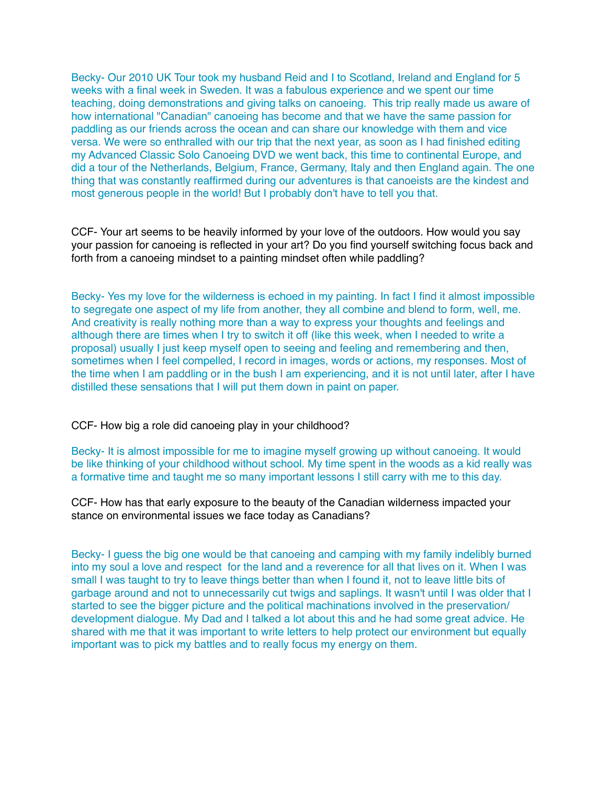Becky- Our 2010 UK Tour took my husband Reid and I to Scotland, Ireland and England for 5 weeks with a final week in Sweden. It was a fabulous experience and we spent our time teaching, doing demonstrations and giving talks on canoeing. This trip really made us aware of how international "Canadian" canoeing has become and that we have the same passion for paddling as our friends across the ocean and can share our knowledge with them and vice versa. We were so enthralled with our trip that the next year, as soon as I had finished editing my Advanced Classic Solo Canoeing DVD we went back, this time to continental Europe, and did a tour of the Netherlands, Belgium, France, Germany, Italy and then England again. The one thing that was constantly reaffirmed during our adventures is that canoeists are the kindest and most generous people in the world! But I probably don't have to tell you that.

CCF- Your art seems to be heavily informed by your love of the outdoors. How would you say your passion for canoeing is reflected in your art? Do you find yourself switching focus back and forth from a canoeing mindset to a painting mindset often while paddling?

Becky- Yes my love for the wilderness is echoed in my painting. In fact I find it almost impossible to segregate one aspect of my life from another, they all combine and blend to form, well, me. And creativity is really nothing more than a way to express your thoughts and feelings and although there are times when I try to switch it off (like this week, when I needed to write a proposal) usually I just keep myself open to seeing and feeling and remembering and then, sometimes when I feel compelled, I record in images, words or actions, my responses. Most of the time when I am paddling or in the bush I am experiencing, and it is not until later, after I have distilled these sensations that I will put them down in paint on paper.

CCF- How big a role did canoeing play in your childhood?

Becky- It is almost impossible for me to imagine myself growing up without canoeing. It would be like thinking of your childhood without school. My time spent in the woods as a kid really was a formative time and taught me so many important lessons I still carry with me to this day.

CCF- How has that early exposure to the beauty of the Canadian wilderness impacted your stance on environmental issues we face today as Canadians?

Becky- I guess the big one would be that canoeing and camping with my family indelibly burned into my soul a love and respect for the land and a reverence for all that lives on it. When I was small I was taught to try to leave things better than when I found it, not to leave little bits of garbage around and not to unnecessarily cut twigs and saplings. It wasn't until I was older that I started to see the bigger picture and the political machinations involved in the preservation/ development dialogue. My Dad and I talked a lot about this and he had some great advice. He shared with me that it was important to write letters to help protect our environment but equally important was to pick my battles and to really focus my energy on them.